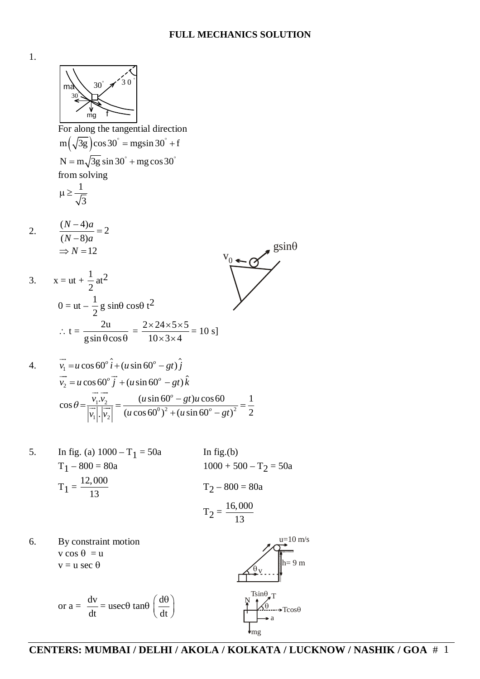

1.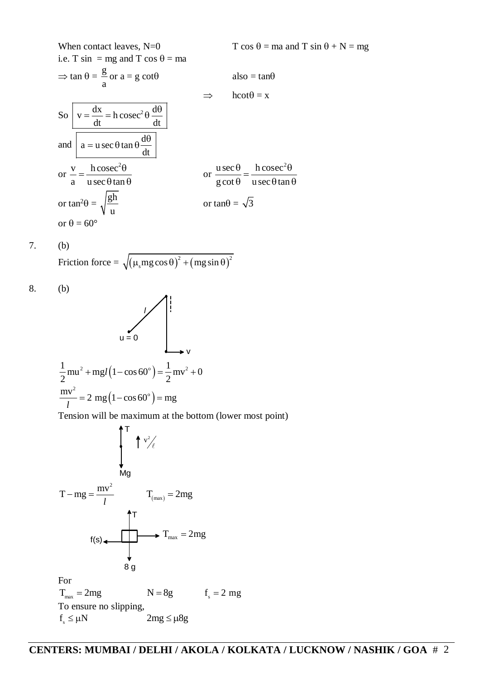When contact leaves, N=0  
\ni.e. T sin = mg and T cos 
$$
\theta
$$
 = ma  
\n $\Rightarrow$  tan  $\theta$  =  $\frac{g}{a}$  or a = g cot $\theta$   
\n $\Rightarrow$  also = tan $\theta$   
\n $\Rightarrow$  hot $\theta$  = x  
\nSo  $v = \frac{dx}{dt} = h \csc^2 \theta \frac{d\theta}{dt}$   
\nand  $a = u \sec \theta \tan \theta \frac{d\theta}{dt}$   
\nor  $\frac{v}{a} = \frac{h \csc^2 \theta}{u \sec \theta \tan \theta}$   
\nor tan<sup>2</sup> $\theta$  =  $\sqrt{\frac{gh}{u}}$   
\nor tan<sup>2</sup> $\theta$  =  $\sqrt{\frac{gh}{u}}$   
\nor tan<sup>2</sup> $\theta$  = 60°

7. (b)

Friction force = 
$$
\sqrt{\left(\mu_s mg \cos \theta\right)^2 + \left(mg \sin \theta\right)^2}
$$

8. (b)

$$
u = 0
$$
  
\n
$$
1 - \frac{1}{2}mu^{2} + mgl(1 - \cos 60^{\circ}) = \frac{1}{2}mv^{2} + 0
$$
  
\n
$$
\frac{mv^{2}}{l} = 2 mg(1 - \cos 60^{\circ}) = mg
$$

Tension will be maximum at the bottom (lower most point)

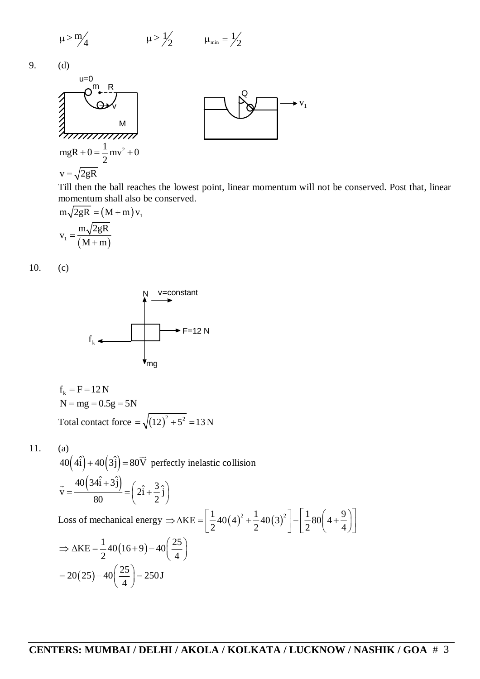$$
\mu \ge \frac{m}{4} \qquad \qquad \mu \ge \frac{1}{2} \qquad \qquad \mu_{\min} = \frac{1}{2}
$$

9. (d)



Till then the ball reaches the lowest point, linear momentum will not be conserved. Post that, linear momentum shall also be conserved.

Q

 $V_1$ 

$$
m\sqrt{2gR} = (M+m)v_1
$$
  

$$
v_1 = \frac{m\sqrt{2gR}}{(M+m)}
$$

10. (c)



$$
f_k = F = 12 N
$$
  
N = mg = 0.5g = 5N  
Total contact force =  $\sqrt{(12)^2 + 5^2} = 13 N$ 

(a)  
\n
$$
40(4\hat{i}) + 40(3\hat{j}) = 80\overrightarrow{V} \text{ perfectly inelastic collision}
$$
\n
$$
\vec{v} = \frac{40(34\hat{i} + 3\hat{j})}{80} = (2\hat{i} + \frac{3}{2}\hat{j})
$$
\nLoss of mechanical energy  $\Rightarrow \Delta KE = \left[\frac{1}{2}40(4)^2 + \frac{1}{2}40(3)^2\right] - \left[\frac{1}{2}80(4 + \frac{9}{4})\right]$ \n
$$
\Rightarrow \Delta KE = \frac{1}{2}40(16+9) - 40\left(\frac{25}{4}\right)
$$
\n
$$
= 20(25) - 40\left(\frac{25}{4}\right) = 250\text{ J}
$$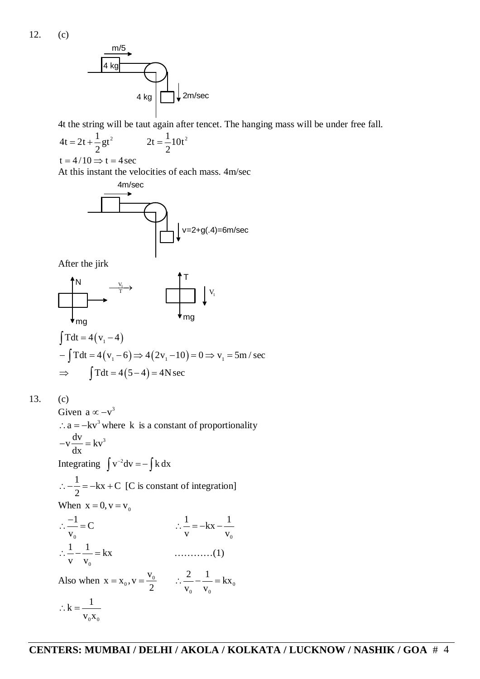

4t the string will be taut again after tencet. The hanging mass will be under free fall.

$$
4t = 2t + \frac{1}{2}gt^2
$$
 
$$
2t = \frac{1}{2}10t^2
$$

$$
t = 4/10 \Longrightarrow t = 4 \sec
$$

At this instant the velocities of each mass. 4m/sec



After the jirk

$$
\begin{array}{c}\n\begin{array}{ccc}\n\uparrow & & & \uparrow \\
\hline\n\uparrow & & & \uparrow \\
\downarrow & & & \uparrow \\
\downarrow & & & \uparrow \\
\hline\n\uparrow & & & \uparrow \\
\downarrow & & & \uparrow \\
\downarrow & & & \uparrow \\
\downarrow & & & \uparrow \\
\downarrow & & & \downarrow \\
\downarrow & & & \downarrow \\
\downarrow & & & \downarrow \\
\downarrow & & & \downarrow \\
\downarrow & & & \downarrow \\
\downarrow & & & \downarrow \\
\downarrow & & & \downarrow \\
\downarrow & & & \downarrow \\
\downarrow & & & \downarrow \\
\downarrow & & & \downarrow \\
\downarrow & & & \downarrow \\
\downarrow & & & \downarrow \\
\downarrow & & & \downarrow \\
\downarrow & & & \downarrow \\
\downarrow & & & \downarrow \\
\downarrow & & & \downarrow \\
\downarrow & & & \downarrow \\
\downarrow & & & \downarrow \\
\downarrow & & & \downarrow \\
\downarrow & & & \downarrow \\
\downarrow & & & \downarrow \\
\downarrow & & & \downarrow \\
\downarrow & & & \downarrow \\
\downarrow & & & \downarrow \\
\downarrow & & & \downarrow \\
\downarrow & & & \downarrow \\
\downarrow & & & \downarrow \\
\downarrow & & & \downarrow \\
\downarrow & & & \downarrow \\
\downarrow & & & \downarrow \\
\downarrow & & & \downarrow \\
\downarrow & & & \downarrow \\
\downarrow & & & \downarrow \\
\downarrow & & & \downarrow \\
\downarrow & & & \downarrow \\
\downarrow & & & \downarrow \\
\downarrow & & & \downarrow \\
\downarrow & & & \downarrow \\
\downarrow & & & \downarrow \\
\downarrow & & & \downarrow \\
\downarrow & & & \downarrow \\
\downarrow & & & \downarrow \\
\downarrow & & & \downarrow \\
\downarrow & & & \downarrow \\
\downarrow & & & \downarrow \\
\downarrow & & & \downarrow \\
\downarrow & & & \downarrow \\
\downarrow & & & \downarrow \\
\downarrow & & & \downarrow \\
\downarrow & & & \downarrow \\
\downarrow & & & \downarrow \\
\downarrow & & & \downarrow \\
\downarrow & & & \downarrow \\
\downarrow & & & \downarrow \\
\downarrow & & & \downarrow \\
\downarrow & & & \downarrow \\
\downarrow & & & \downarrow \\
\downarrow & & & \downarrow \\
\downarrow & & & \downarrow \\
\downarrow & & & \downarrow \\
\downarrow & & & \downarrow \\
\downarrow & & & \downarrow \\
\downarrow & & & \downarrow \\
\downarrow & & & \downarrow \\
\downarrow & & & \downarrow \\
\downarrow & & &
$$

$$
-\int Tdt = 4(v_1 - 6) \Rightarrow 4(2v_1 - 10) = 0 \Rightarrow v_1 = 5m/sec
$$
  
\n
$$
\Rightarrow \int Tdt = 4(5-4) = 4Nsec
$$

13. (c)

Given  $a \propto -v^3$  $\therefore$  a = -kv<sup>3</sup> where k is a constant of proportionality  $v \frac{dv}{dt} = kv^3$ dx  $-v\frac{uv}{1} = 1$ Integrating  $\int v^{-2} dv = - \int k dx$  $\frac{1}{2} = -kx + C$ 2  $\therefore -\frac{1}{2} = -kx + C$  [C is constant of integration] When  $x = 0$ ,  $v = v_0$ 0  $\frac{1}{\overline{C}}$ v  $\therefore \frac{-1}{\cdot} = 0$ 0  $\frac{1}{-} = -kx - \frac{1}{-}$  $V \tV_0$  $\therefore$   $\frac{1}{ }$  =  $-kx$  - -0  $\frac{1}{-} - \frac{1}{-} = kx$  $\mathbf{v} \quad \mathbf{v}_0$  …………(1) Also when  $x = x_0, v = \frac{v_0}{2}$  $x = x_0, v = \frac{v}{c}$  $= x_0, v = \frac{v_0}{2}$   $\therefore \frac{2}{v_0} - \frac{1}{v_0} = kx_0$  $0 \qquad \mathbf{v}_0$  $\frac{2}{-} - \frac{1}{-} = kx$  $V_0$   $V_0$  $\therefore$   $\frac{2}{\cdots}$   $\frac{1}{\cdots}$  = 1  $0^{\Lambda}0$  $k = \frac{1}{1}$  $V_0 X_0$  $\therefore$  k = -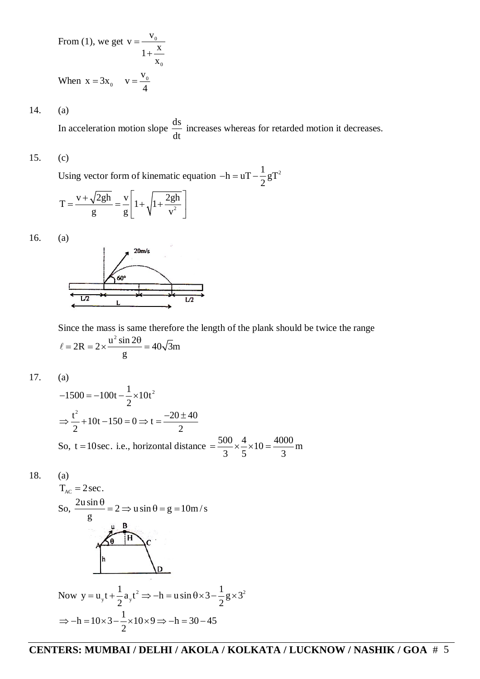From (1), we get 
$$
v = \frac{v_0}{1 + \frac{x}{x_0}}
$$
  
When  $x = 3x_0$   $v = \frac{v_0}{4}$ 

14. (a)

In acceleration motion slope  $\frac{ds}{dt}$ dt increases whereas for retarded motion it decreases.

## 15. (c)

Using vector form of kinematic equation  $-h = uT - \frac{1}{2}gT^2$ 2  $-h = uT - \frac{1}{2}$ 

$$
T = \frac{v + \sqrt{2gh}}{g} = \frac{v}{g} \left[ 1 + \sqrt{1 + \frac{2gh}{v^2}} \right]
$$

16. (a)



Since the mass is same therefore the length of the plank should be twice the range  $2R = 2 \times \frac{u^2 \sin 2\theta}{2} = 40\sqrt{3}m$ g  $\ell = 2R = 2 \times \frac{u^2 \sin 2\theta}{u^2} = 4$ 

17. (a)

$$
-1500 = -100t - \frac{1}{2} \times 10t^2
$$
  
\n
$$
\Rightarrow \frac{t^2}{2} + 10t - 150 = 0 \Rightarrow t = \frac{-20 \pm 40}{2}
$$
  
\nSo, t = 10sec. i.e., horizontal distance =  $\frac{500}{3} \times \frac{4}{5} \times 10 = \frac{4000}{3}$  m

$$
18. \qquad (a)
$$

$$
T_{AC} = 2 \sec.
$$
  
So, 
$$
\frac{2u \sin \theta}{g} = 2 \Rightarrow u \sin \theta = g = 10 \text{ m/s}
$$
  
  

$$
\theta = \frac{u}{h}
$$
  
  
Now  $y = u_y t + \frac{1}{2} a_y t^2 \Rightarrow -h = u \sin \theta \times 3 - \frac{1}{2} g \times 3^2$   

$$
\Rightarrow -h = 10 \times 3 - \frac{1}{2} \times 10 \times 9 \Rightarrow -h = 30 - 45
$$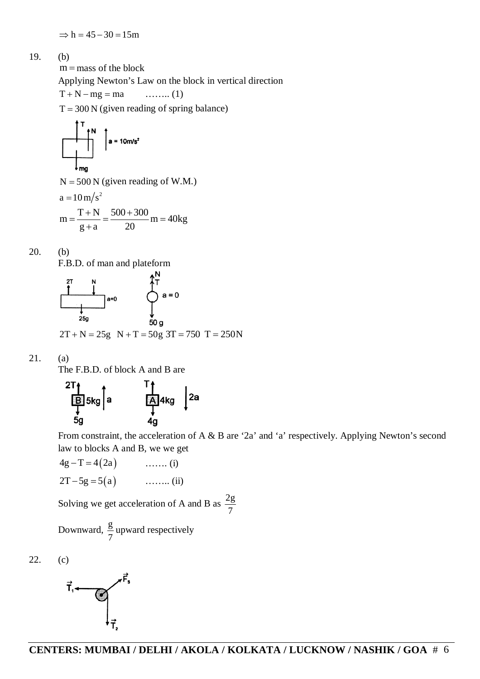$$
19. \qquad (b)
$$

 $m =$  mass of the block Applying Newton's Law on the block in vertical direction  $T + N - mg = ma$  ......... (1)  $T = 300 N$  (given reading of spring balance)

 $N = 500 N$  (given reading of W.M.)

a = 
$$
10 \text{ m/s}^2
$$
  
\nm =  $\frac{T+N}{g+a}$  =  $\frac{500+300}{20}$ m = 40kg

20. (b)

F.B.D. of man and plateform



21. (a)

The F.B.D. of block A and B are



From constraint, the acceleration of A & B are '2a' and 'a' respectively. Applying Newton's second law to blocks A and B, we we get

$$
4g - T = 4(2a) \qquad \qquad \dots \dots \text{ (i)}
$$
  
2T - 5g = 5(a) \qquad \qquad \dots \dots \text{ (ii)}

Solving we get acceleration of A and B as  $\frac{2g}{f}$ 7

Downward,  $\frac{g}{\pi}$ 7 upward respectively



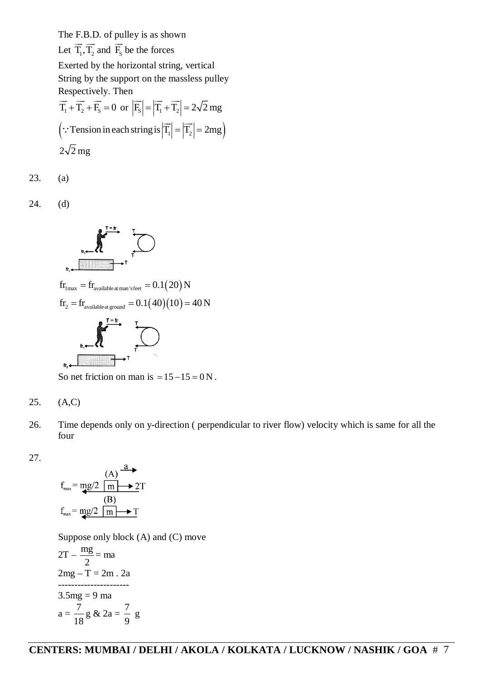The F.B.D. of pulley is as shown Let  $T_1, T_2$  $\overline{\phantom{a}}\overline{\phantom{a}}$ and  $F_s$  $\stackrel{\sim}{\longrightarrow}$ be the forces Exerted by the horizontal string, vertical String by the support on the massless pulley Respectively. Then  $T_1 + T_2 + F_s = 0$  $\rightarrow$   $\rightarrow$   $\rightarrow$ or  $|F_s| = |T_1 + T_2| = 2\sqrt{2}$  mg  $\rightarrow$   $\rightarrow$   $\rightarrow$  $|\cdot$  Tension in each string is  $|T_1| = |T_2| = 2mg$  $\rightarrow$   $\rightarrow$  $\ddot{\cdot}$  $2\sqrt{2}$  mg

23. (a)

24. (d)



So net friction on man is  $= 15 - 15 = 0$  N.

$$
25. (A,C)
$$

26. Time depends only on y-direction ( perpendicular to river flow) velocity which is same for all the four

27.

$$
f_{\max} = \frac{(A)}{mg/2} \frac{a}{m} \rightarrow 2T
$$
  

$$
f_{\max} = \frac{mg/2}{m} \frac{1}{m} \rightarrow T
$$

Suppose only block (A) and (C) move

$$
2T - \frac{mg}{2} = ma
$$
  
2mg - T = 2m . 2a  
.................  
3.5mg = 9 ma  

$$
a = \frac{7}{18} g & 2a = \frac{7}{9} g
$$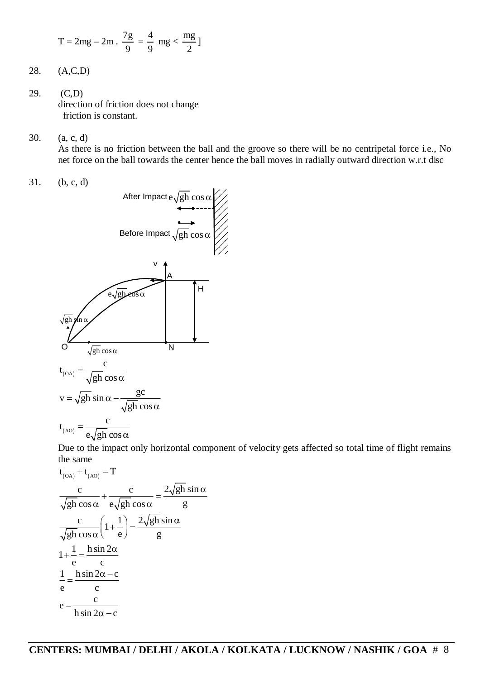$$
T=2mg-2m\ .\ \frac{7g}{9}=\frac{4}{9}\ mg<\frac{mg}{2}\,]
$$

- 28. (A,C,D)
- 29. (C,D) direction of friction does not change friction is constant.
- 30. (a, c, d)

As there is no friction between the ball and the groove so there will be no centripetal force i.e., No net force on the ball towards the center hence the ball moves in radially outward direction w.r.t disc

31. (b, c, d)



Due to the impact only horizontal component of velocity gets affected so total time of flight remains the same

$$
t_{(OA)} + t_{(AO)} = T
$$
  
\n
$$
\frac{c}{\sqrt{gh} \cos \alpha} + \frac{c}{e\sqrt{gh} \cos \alpha} = \frac{2\sqrt{gh} \sin \alpha}{g}
$$
  
\n
$$
\frac{c}{\sqrt{gh} \cos \alpha} \left(1 + \frac{1}{e}\right) = \frac{2\sqrt{gh} \sin \alpha}{g}
$$
  
\n
$$
1 + \frac{1}{e} = \frac{h \sin 2\alpha}{c}
$$
  
\n
$$
\frac{1}{e} = \frac{h \sin 2\alpha - c}{c}
$$
  
\n
$$
e = \frac{c}{h \sin 2\alpha - c}
$$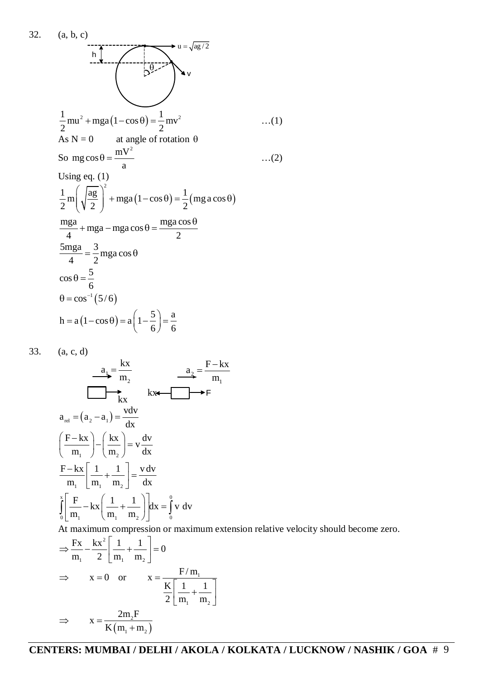32. (a, b, c)  
\n
$$
\frac{1}{2}mu^{2} + mga(1 - \cos \theta) = \frac{1}{2}mv^{2}
$$
\n
$$
S = \frac{1}{2}mv^{2}
$$
\n
$$
S = \frac{1}{2}mv^{2}
$$
\n
$$
S = \frac{mv^{2}}{a}
$$
\n
$$
S = \frac{mv^{2}}{a}
$$
\n
$$
S = \frac{mv^{2}}{a}
$$
\n
$$
\frac{1}{2}m\left(\sqrt{\frac{ag}{2}}\right)^{2} + mga(1 - \cos \theta) = \frac{1}{2}(mg a \cos \theta)
$$
\n
$$
\frac{mg}{4} + mga - mga \cos \theta = \frac{mga \cos \theta}{2}
$$
\n
$$
\frac{5mga}{4} = \frac{3}{2}mga \cos \theta
$$
\n
$$
\cos \theta = \frac{5}{6}
$$
\n
$$
\theta = \cos^{-1}(5/6)
$$
\n
$$
h = a(1 - \cos \theta) = a\left(1 - \frac{5}{6}\right) = \frac{a}{6}
$$

33. (a, c, d)

$$
\frac{a_1}{\sqrt{m_1}} = \frac{kx}{m_2} \qquad \frac{a_2}{\sqrt{m_1}} = \frac{F - kx}{m_1}
$$
\n
$$
a_{rel} = (a_2 - a_1) = \frac{vdv}{dx}
$$
\n
$$
\left(\frac{F - kx}{m_1}\right) - \left(\frac{kx}{m_2}\right) = v\frac{dv}{dx}
$$
\n
$$
\frac{F - kx}{m_1} \left[\frac{1}{m_1} + \frac{1}{m_2}\right] = \frac{v dv}{dx}
$$
\n
$$
\int_0^x \left[\frac{F}{m_1} - kx \left(\frac{1}{m_1} + \frac{1}{m_2}\right)\right] dx = \int_0^0 v dv
$$

At maximum compression or maximum extension relative velocity should become zero.

1

$$
\Rightarrow \frac{Fx}{m_1} - \frac{kx^2}{2} \left[ \frac{1}{m_1} + \frac{1}{m_2} \right] = 0
$$
  
\n
$$
\Rightarrow \qquad x = 0 \quad \text{or} \qquad x = \frac{F/m_1}{\frac{K}{2} \left[ \frac{1}{m_1} + \frac{1}{m_2} \right]}
$$
  
\n
$$
\Rightarrow \qquad x = \frac{2m_2F}{K(m_1 + m_2)}
$$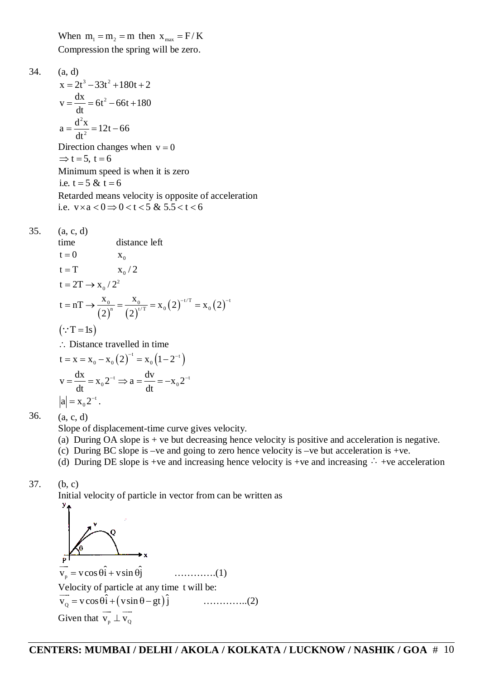When  $m_1 = m_2 = m$  then  $x_{max} = F/K$ Compression the spring will be zero.

34. (a, d)  $x = 2t^3 - 33t^2 + 180t + 2$  $v = \frac{dx}{dt} = 6t^2 - 66t + 180$  $=\frac{dA}{dt}$  = 6t<sup>2</sup> – 66t + 1

dt 2  $a = \frac{d^2x}{dt^2} = 12t - 66$ dt  $=\frac{d^{2}A}{dt^{2}}=12t-6$ Direction changes when  $v = 0$  $\Rightarrow$  t = 5, t = 6 Minimum speed is when it is zero i.e.  $t = 5 \& t = 6$ Retarded means velocity is opposite of acceleration i.e.  $v \times a < 0 \Rightarrow 0 < t < 5$  &  $5.5 < t < 6$ 

35. (a, c, d)

time distance left  
\n
$$
t = 0
$$
  $x_0$   
\n $t = T$   $x_0/2$   
\n $t = 2T \rightarrow x_0/2^2$   
\n $t = nT \rightarrow \frac{x_0}{(2)^n} = \frac{x_0}{(2)^{t/T}} = x_0(2)^{-t/T} = x_0(2)^{-t}$   
\n(: $T = 1s$ )  
\n $\therefore$  Distance travelled in time  
\n $t = x = x_0 - x_0(2)^{-t} = x_0(1 - 2^{-t})$   
\n $v = \frac{dx}{dt} = x_0 2^{-t} \Rightarrow a = \frac{dv}{dt} = -x_0 2^{-t}$   
\n $|a| = x_0 2^{-t}$ .

36. (a, c, d)

Slope of displacement-time curve gives velocity.

- (a) During OA slope is + ve but decreasing hence velocity is positive and acceleration is negative.
- (c) During BC slope is –ve and going to zero hence velocity is –ve but acceleration is +ve.
- (d) During DE slope is +ve and increasing hence velocity is +ve and increasing  $\cdot \cdot$  +ve acceleration

$$
37. \qquad (b, c)
$$

Initial velocity of particle in vector from can be written as

 $\overrightarrow{v_p}$  =  $v \cos \theta \hat{i} + v \sin \theta \hat{j}$ ………….(1) Velocity of particle at any time t will be: velocity of particle at any time<br> $\overrightarrow{v}_Q = v \cos \theta \hat{i} + (v \sin \theta - gt) \hat{j}$ …………..(2) Given that  $\overrightarrow{v_n} \perp \overrightarrow{v_0}$  $\rightarrow$   $\rightarrow$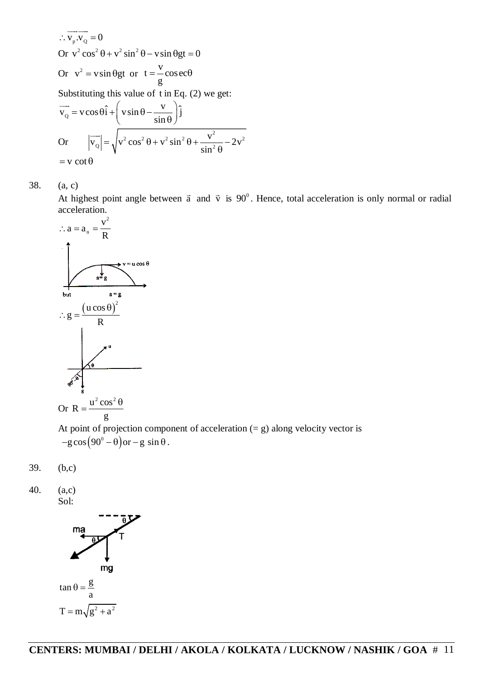$$
\therefore \overrightarrow{v_p} \cdot \overrightarrow{v_q} = 0
$$
  
Or  $v^2 \cos^2 \theta + v^2 \sin^2 \theta - v \sin \theta gt = 0$   
Or  $v^2 = v \sin \theta gt$  or  $t = \frac{v}{g} \cos \theta$   
Substituting this value of t in Eq. (2) we get:  

$$
\overrightarrow{v_q} = v \cos \theta \hat{i} + \left(v \sin \theta - \frac{v}{\sin \theta}\right) \hat{j}
$$
  
Or 
$$
|\overrightarrow{v_q}| = \sqrt{v^2 \cos^2 \theta + v^2 \sin^2 \theta + \frac{v^2}{\sin^2 \theta} - 2v^2}
$$

$$
= v \cot \theta
$$

38. (a, c)

At highest point angle between  $\vec{a}$  and  $\vec{v}$  is 90<sup>°</sup>. Hence, total acceleration is only normal or radial acceleration.



At point of projection component of acceleration (= g) along velocity vector is  $-g\cos(90^\circ - \theta)$  or  $-g\sin\theta$ .

$$
39. \qquad (b,c)
$$

40. (a,c)

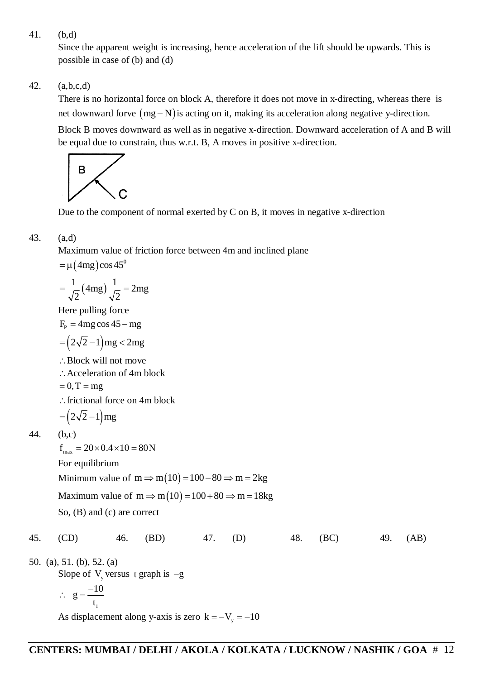41. (b,d)

Since the apparent weight is increasing, hence acceleration of the lift should be upwards. This is possible in case of (b) and (d)

42. (a,b,c,d)

There is no horizontal force on block A, therefore it does not move in x-directing, whereas there is net downward forve  $(mg - N)$  is acting on it, making its acceleration along negative y-direction. Block B moves downward as well as in negative x-direction. Downward acceleration of A and B will be equal due to constrain, thus w.r.t. B, A moves in positive x-direction.



Due to the component of normal exerted by C on B, it moves in negative x-direction

## 43. (a,d)

Maximum value of friction force between 4m and inclined plane

 $= \mu(4mg)\cos 45^\circ$ 

$$
=\frac{1}{\sqrt{2}}(4mg)\frac{1}{\sqrt{2}}=2mg
$$

Here pulling force

 $F<sub>p</sub> = 4mg \cos 45 - mg$ 

$$
= (2\sqrt{2} - 1) \text{mg} < 2 \text{mg}
$$

Block will not move

∴Acceleration of 4m block

$$
= 0, T = mg
$$

 $\therefore$  frictional force on 4m block

$$
= (2\sqrt{2} - 1)mg
$$

$$
44. \qquad (b,c)
$$

 $f_{\text{max}} = 20 \times 0.4 \times 10 = 80N$ For equilibrium Minimum value of  $m \Rightarrow m(10) = 100 - 80 \Rightarrow m = 2kg$ Maximum value of  $m \Rightarrow m(10) = 100 + 80 \Rightarrow m = 18kg$ 

So, (B) and (c) are correct

45. (CD) 46. (BD) 47. (D) 48. (BC) 49. (AB)

50. (a), 51. (b), 52. (a) Slope of  $V_{y}$  versus t graph is  $-g$ 1  $g = \frac{-10}{1}$ t  $\therefore -g = -$ 

As displacement along y-axis is zero  $k = -V_y = -10$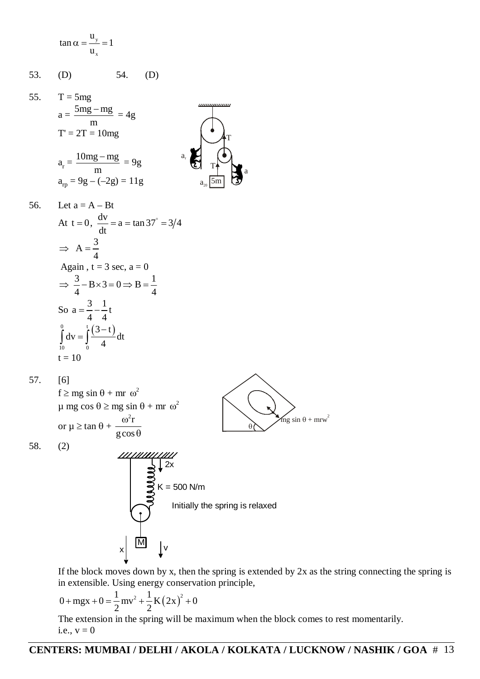$$
\tan \alpha = \frac{u_y}{u_x} = 1
$$

53. (D) 54. (D)

55. T = 5mg  
\n
$$
a = \frac{5mg - mg}{m} = 4g
$$
\n
$$
T' = 2T = 10mg
$$
\n
$$
a_r = \frac{10mg - mg}{m} = 9g
$$
\n
$$
a_{rp} = 9g - (-2g) = 11g
$$
\n
$$
a_{20} = \frac{5mg - mg}{m}
$$

56. Let 
$$
a = A - Bt
$$
  
\nAt  $t = 0$ ,  $\frac{dv}{dt} = a = \tan 37^\circ = 3/4$   
\n $\Rightarrow A = \frac{3}{4}$   
\nAgain,  $t = 3 \text{ sec, } a = 0$   
\n $\Rightarrow \frac{3}{4} - B \times 3 = 0 \Rightarrow B = \frac{1}{4}$   
\nSo  $a = \frac{3}{4} - \frac{1}{4}t$   
\n $\int_{10}^{0} dv = \int_{0}^{t} \frac{(3-t)}{4} dt$   
\n $t = 10$ 

57. [6]

 $f \ge mg \sin \theta + mr \omega^2$  $\mu$  mg cos  $\theta \ge$  mg sin  $\theta$  + mr  $\omega^2$ or  $\mu \geq \tan \theta +$  $^{2}$ r  $\omega$ 



a

T

58. (2)



If the block moves down by x, then the spring is extended by 2x as the string connecting the spring is in extensible. Using energy conservation principle,

$$
0 + \max + 0 = \frac{1}{2} m v^2 + \frac{1}{2} K (2x)^2 + 0
$$

The extension in the spring will be maximum when the block comes to rest momentarily. i.e.,  $v = 0$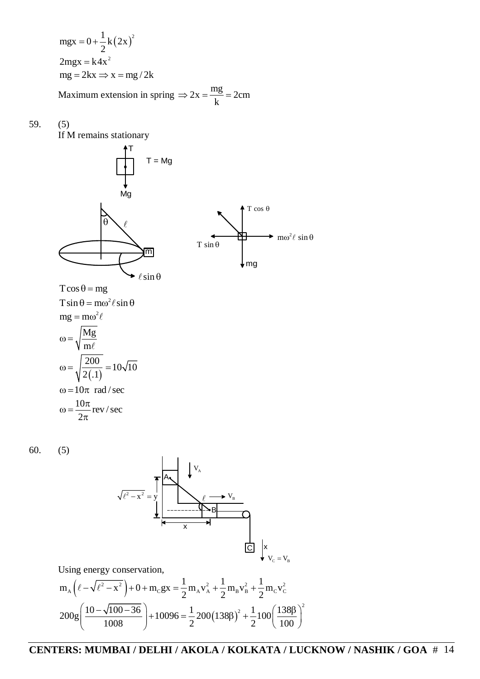$(2x)^{2}$  $\text{mgx} = 0 + \frac{1}{2} \text{k} (2 \text{x})^2$ 2  $= 0 + \frac{1}{2}$  $2mgx = k4x^2$  $mg = 2kx \implies x = mg / 2k$ Maximum extension in spring  $\Rightarrow$  2x =  $\frac{mg}{1}$  = 2cm  $\Rightarrow$  2x =  $\frac{mg}{1}$  = 2

59. (5)

If M remains stationary



k

60. (5)



Using energy conservation,

$$
m_A \left( \ell - \sqrt{\ell^2 - x^2} \right) + 0 + m_C g x = \frac{1}{2} m_A v_A^2 + \frac{1}{2} m_B v_B^2 + \frac{1}{2} m_C v_C^2
$$
  

$$
200 g \left( \frac{10 - \sqrt{100 - 36}}{1008} \right) + 10096 = \frac{1}{2} 200 (138 \beta)^2 + \frac{1}{2} 100 \left( \frac{138 \beta}{100} \right)^2
$$